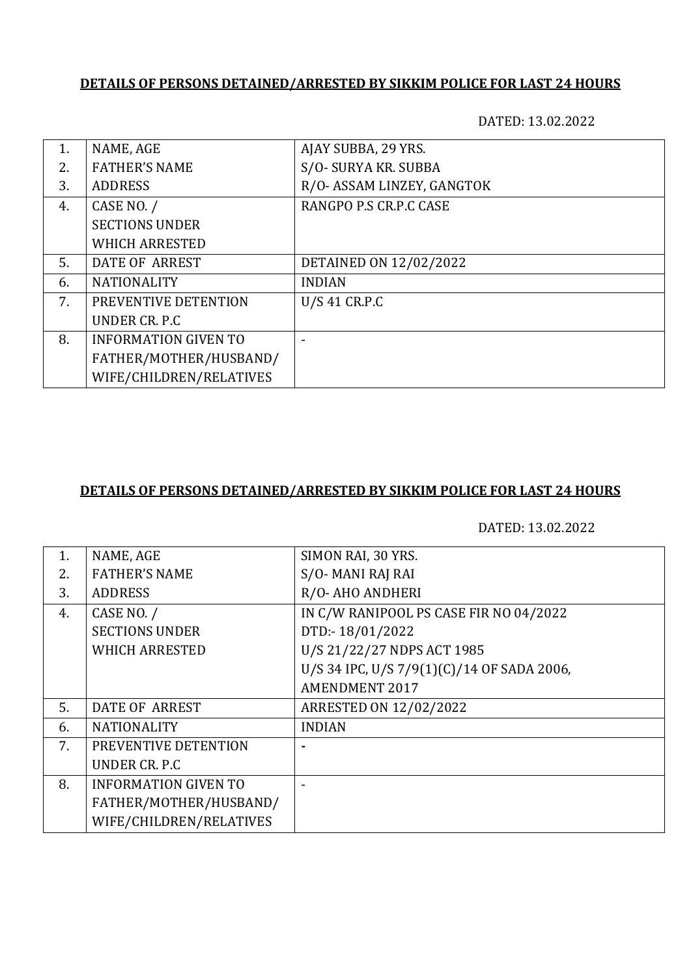DATED: 13.02.2022

| 1. | NAME, AGE                   | AJAY SUBBA, 29 YRS.        |
|----|-----------------------------|----------------------------|
| 2. | <b>FATHER'S NAME</b>        | S/O- SURYA KR. SUBBA       |
| 3. | <b>ADDRESS</b>              | R/O- ASSAM LINZEY, GANGTOK |
| 4. | CASE NO. /                  | RANGPO P.S CR.P.C CASE     |
|    | <b>SECTIONS UNDER</b>       |                            |
|    | <b>WHICH ARRESTED</b>       |                            |
| 5. | DATE OF ARREST              | DETAINED ON 12/02/2022     |
| 6. | <b>NATIONALITY</b>          | <b>INDIAN</b>              |
| 7. | PREVENTIVE DETENTION        | U/S 41 CR.P.C              |
|    | UNDER CR. P.C.              |                            |
| 8. | <b>INFORMATION GIVEN TO</b> |                            |
|    | FATHER/MOTHER/HUSBAND/      |                            |
|    | WIFE/CHILDREN/RELATIVES     |                            |

### **DETAILS OF PERSONS DETAINED/ARRESTED BY SIKKIM POLICE FOR LAST 24 HOURS**

| 1. | NAME, AGE                   | SIMON RAI, 30 YRS.                         |
|----|-----------------------------|--------------------------------------------|
| 2. | <b>FATHER'S NAME</b>        | S/O-MANI RAJ RAI                           |
| 3. | <b>ADDRESS</b>              | R/O-AHO ANDHERI                            |
| 4. | CASE NO. /                  | IN C/W RANIPOOL PS CASE FIR NO 04/2022     |
|    | <b>SECTIONS UNDER</b>       | DTD:-18/01/2022                            |
|    | <b>WHICH ARRESTED</b>       | U/S 21/22/27 NDPS ACT 1985                 |
|    |                             | U/S 34 IPC, U/S 7/9(1)(C)/14 OF SADA 2006, |
|    |                             | <b>AMENDMENT 2017</b>                      |
| 5. | DATE OF ARREST              | <b>ARRESTED ON 12/02/2022</b>              |
| 6. | <b>NATIONALITY</b>          | <b>INDIAN</b>                              |
| 7. | PREVENTIVE DETENTION        |                                            |
|    | UNDER CR. P.C.              |                                            |
| 8. | <b>INFORMATION GIVEN TO</b> |                                            |
|    | FATHER/MOTHER/HUSBAND/      |                                            |
|    | WIFE/CHILDREN/RELATIVES     |                                            |
|    |                             |                                            |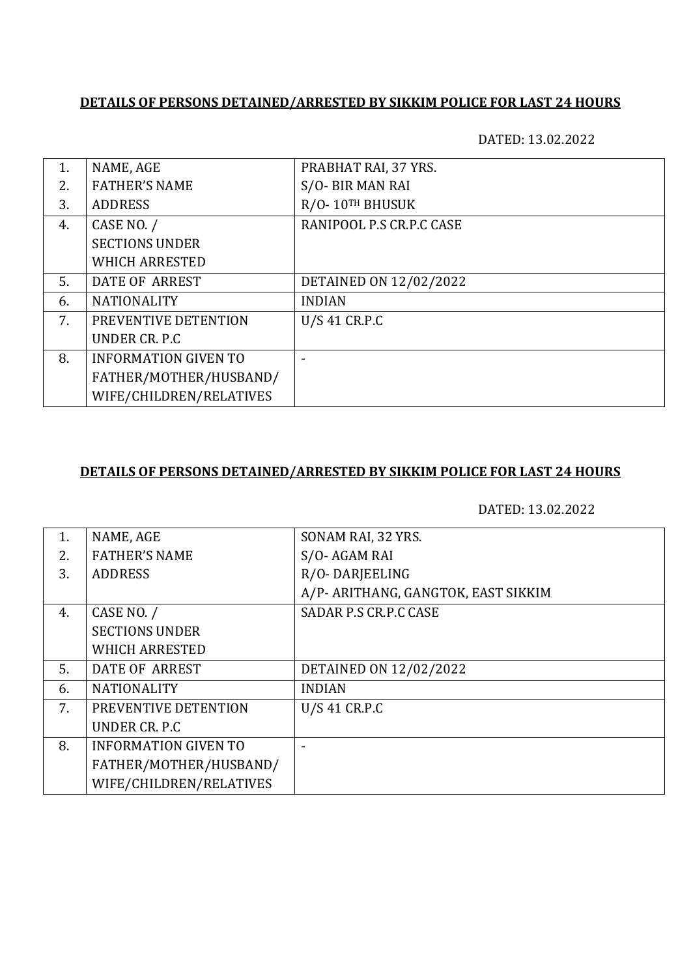DATED: 13.02.2022

| 1. | NAME, AGE                   | PRABHAT RAI, 37 YRS.     |
|----|-----------------------------|--------------------------|
| 2. | <b>FATHER'S NAME</b>        | S/O- BIR MAN RAI         |
| 3. | <b>ADDRESS</b>              | R/O-10TH BHUSUK          |
| 4. | CASE NO. /                  | RANIPOOL P.S CR.P.C CASE |
|    | <b>SECTIONS UNDER</b>       |                          |
|    | <b>WHICH ARRESTED</b>       |                          |
| 5. | <b>DATE OF ARREST</b>       | DETAINED ON 12/02/2022   |
| 6. | <b>NATIONALITY</b>          | <b>INDIAN</b>            |
| 7. | PREVENTIVE DETENTION        | U/S 41 CR.P.C            |
|    | UNDER CR. P.C               |                          |
| 8. | <b>INFORMATION GIVEN TO</b> |                          |
|    | FATHER/MOTHER/HUSBAND/      |                          |
|    | WIFE/CHILDREN/RELATIVES     |                          |

## **DETAILS OF PERSONS DETAINED/ARRESTED BY SIKKIM POLICE FOR LAST 24 HOURS**

| 1. | NAME, AGE                   | SONAM RAI, 32 YRS.                  |
|----|-----------------------------|-------------------------------------|
| 2. | <b>FATHER'S NAME</b>        | S/O-AGAM RAI                        |
| 3. | <b>ADDRESS</b>              | R/O-DARJEELING                      |
|    |                             | A/P- ARITHANG, GANGTOK, EAST SIKKIM |
| 4. | CASE NO. /                  | SADAR P.S CR.P.C CASE               |
|    | <b>SECTIONS UNDER</b>       |                                     |
|    | <b>WHICH ARRESTED</b>       |                                     |
| 5. | DATE OF ARREST              | DETAINED ON 12/02/2022              |
| 6. | <b>NATIONALITY</b>          | <b>INDIAN</b>                       |
| 7. | PREVENTIVE DETENTION        | U/S 41 CR.P.C                       |
|    | UNDER CR. P.C.              |                                     |
| 8. | <b>INFORMATION GIVEN TO</b> |                                     |
|    | FATHER/MOTHER/HUSBAND/      |                                     |
|    | WIFE/CHILDREN/RELATIVES     |                                     |
|    |                             |                                     |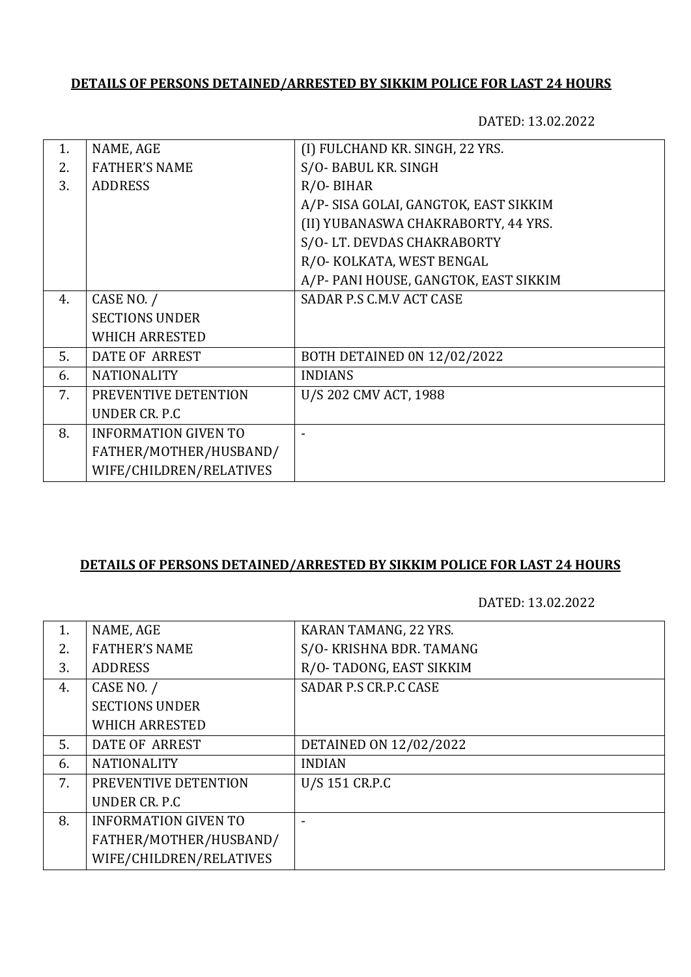DATED: 13.02.2022

| NAME, AGE                   | (I) FULCHAND KR. SINGH, 22 YRS.       |
|-----------------------------|---------------------------------------|
| <b>FATHER'S NAME</b>        | S/O-BABUL KR. SINGH                   |
| <b>ADDRESS</b>              | $R/O$ - BIHAR                         |
|                             | A/P- SISA GOLAI, GANGTOK, EAST SIKKIM |
|                             | (II) YUBANASWA CHAKRABORTY, 44 YRS.   |
|                             | S/O-LT. DEVDAS CHAKRABORTY            |
|                             | R/O- KOLKATA, WEST BENGAL             |
|                             | A/P- PANI HOUSE, GANGTOK, EAST SIKKIM |
| CASE NO. /                  | SADAR P.S C.M.V ACT CASE              |
| <b>SECTIONS UNDER</b>       |                                       |
| <b>WHICH ARRESTED</b>       |                                       |
| <b>DATE OF ARREST</b>       | BOTH DETAINED ON 12/02/2022           |
| <b>NATIONALITY</b>          | <b>INDIANS</b>                        |
| PREVENTIVE DETENTION        | U/S 202 CMV ACT, 1988                 |
| UNDER CR. P.C.              |                                       |
| <b>INFORMATION GIVEN TO</b> |                                       |
| FATHER/MOTHER/HUSBAND/      |                                       |
| WIFE/CHILDREN/RELATIVES     |                                       |
|                             |                                       |

#### **DETAILS OF PERSONS DETAINED/ARRESTED BY SIKKIM POLICE FOR LAST 24 HOURS**

| 1. | NAME, AGE                   | KARAN TAMANG, 22 YRS.    |
|----|-----------------------------|--------------------------|
| 2. | <b>FATHER'S NAME</b>        | S/O- KRISHNA BDR. TAMANG |
| 3. | <b>ADDRESS</b>              | R/O-TADONG, EAST SIKKIM  |
| 4. | CASE NO. /                  | SADAR P.S CR.P.C CASE    |
|    | <b>SECTIONS UNDER</b>       |                          |
|    | <b>WHICH ARRESTED</b>       |                          |
| 5. | DATE OF ARREST              | DETAINED ON 12/02/2022   |
| 6. | <b>NATIONALITY</b>          | <b>INDIAN</b>            |
| 7. | PREVENTIVE DETENTION        | U/S 151 CR.P.C           |
|    | UNDER CR. P.C.              |                          |
| 8. | <b>INFORMATION GIVEN TO</b> |                          |
|    | FATHER/MOTHER/HUSBAND/      |                          |
|    | WIFE/CHILDREN/RELATIVES     |                          |
|    |                             |                          |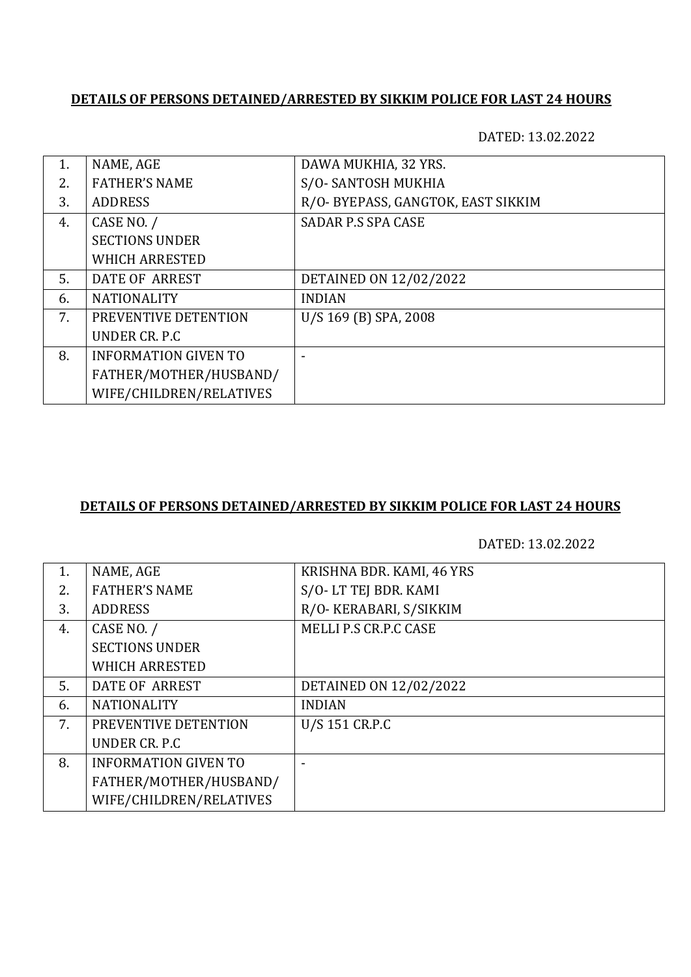DATED: 13.02.2022

|    | NAME, AGE                   | DAWA MUKHIA, 32 YRS.               |
|----|-----------------------------|------------------------------------|
| 2. | <b>FATHER'S NAME</b>        | S/O-SANTOSH MUKHIA                 |
| 3. | <b>ADDRESS</b>              | R/O- BYEPASS, GANGTOK, EAST SIKKIM |
| 4. | CASE NO. /                  | <b>SADAR P.S SPA CASE</b>          |
|    | <b>SECTIONS UNDER</b>       |                                    |
|    | <b>WHICH ARRESTED</b>       |                                    |
| 5. | DATE OF ARREST              | DETAINED ON 12/02/2022             |
| 6. | <b>NATIONALITY</b>          | <b>INDIAN</b>                      |
| 7. | PREVENTIVE DETENTION        | U/S 169 (B) SPA, 2008              |
|    | UNDER CR. P.C.              |                                    |
| 8. | <b>INFORMATION GIVEN TO</b> |                                    |
|    | FATHER/MOTHER/HUSBAND/      |                                    |
|    | WIFE/CHILDREN/RELATIVES     |                                    |

# **DETAILS OF PERSONS DETAINED/ARRESTED BY SIKKIM POLICE FOR LAST 24 HOURS**

| 1. | NAME, AGE                   | KRISHNA BDR. KAMI, 46 YRS |
|----|-----------------------------|---------------------------|
| 2. | <b>FATHER'S NAME</b>        | S/O-LT TEJ BDR. KAMI      |
| 3. | <b>ADDRESS</b>              | R/O- KERABARI, S/SIKKIM   |
| 4. | CASE NO. /                  | MELLI P.S CR.P.C CASE     |
|    | <b>SECTIONS UNDER</b>       |                           |
|    | <b>WHICH ARRESTED</b>       |                           |
| 5. | DATE OF ARREST              | DETAINED ON 12/02/2022    |
| 6. | <b>NATIONALITY</b>          | <b>INDIAN</b>             |
| 7. | PREVENTIVE DETENTION        | U/S 151 CR.P.C            |
|    | UNDER CR. P.C.              |                           |
| 8. | <b>INFORMATION GIVEN TO</b> |                           |
|    | FATHER/MOTHER/HUSBAND/      |                           |
|    | WIFE/CHILDREN/RELATIVES     |                           |